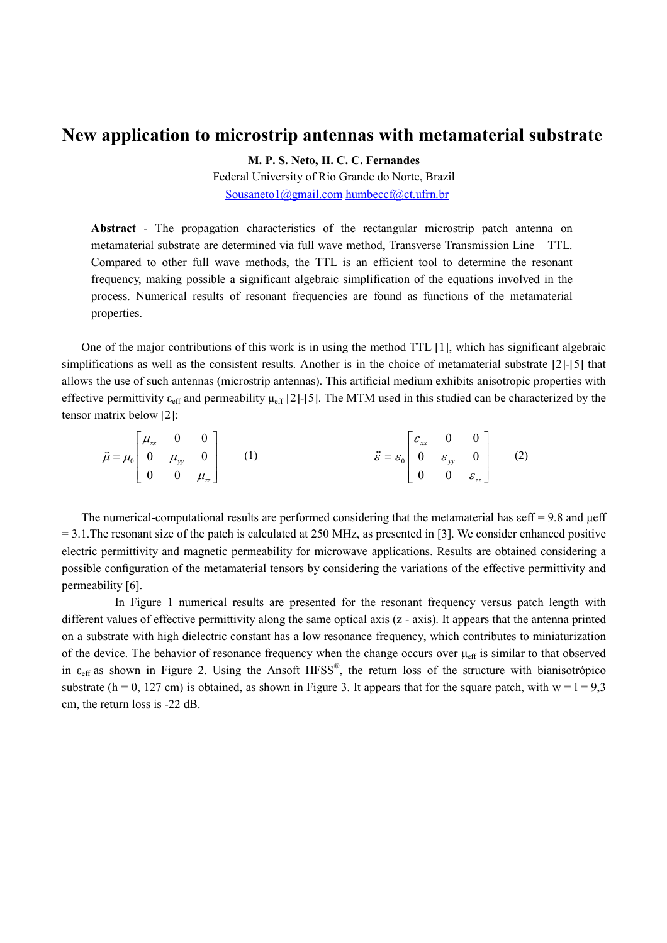## New application to microstrip antennas with metamaterial substrate

M. P. S. Neto, H. C. C. Fernandes

Federal University of Rio Grande do Norte, Brazil Sousaneto1@gmail.com humbeccf@ct.ufrn.br

Abstract - The propagation characteristics of the rectangular microstrip patch antenna on metamaterial substrate are determined via full wave method, Transverse Transmission Line – TTL. Compared to other full wave methods, the TTL is an efficient tool to determine the resonant frequency, making possible a significant algebraic simplification of the equations involved in the process. Numerical results of resonant frequencies are found as functions of the metamaterial properties.

One of the major contributions of this work is in using the method TTL [1], which has significant algebraic simplifications as well as the consistent results. Another is in the choice of metamaterial substrate [2]-[5] that allows the use of such antennas (microstrip antennas). This artificial medium exhibits anisotropic properties with effective permittivity  $\varepsilon_{\rm eff}$  and permeability  $\mu_{\rm eff}$  [2]-[5]. The MTM used in this studied can be characterized by the tensor matrix below [2]:

$$
\vec{\mu} = \mu_0 \begin{bmatrix} \mu_{xx} & 0 & 0 \\ 0 & \mu_{yy} & 0 \\ 0 & 0 & \mu_{zz} \end{bmatrix}
$$
 (1) 
$$
\vec{\varepsilon} = \varepsilon_0 \begin{bmatrix} \varepsilon_{xx} & 0 & 0 \\ 0 & \varepsilon_{yy} & 0 \\ 0 & 0 & \varepsilon_{zz} \end{bmatrix}
$$
 (2)

The numerical-computational results are performed considering that the metamaterial has  $\text{eff} = 9.8$  and  $\mu \text{eff}$  $= 3.1$ . The resonant size of the patch is calculated at 250 MHz, as presented in [3]. We consider enhanced positive electric permittivity and magnetic permeability for microwave applications. Results are obtained considering a possible configuration of the metamaterial tensors by considering the variations of the effective permittivity and permeability [6].

 In Figure 1 numerical results are presented for the resonant frequency versus patch length with different values of effective permittivity along the same optical axis (z - axis). It appears that the antenna printed on a substrate with high dielectric constant has a low resonance frequency, which contributes to miniaturization of the device. The behavior of resonance frequency when the change occurs over  $\mu_{\text{eff}}$  is similar to that observed in  $\varepsilon_{\rm eff}$  as shown in Figure 2. Using the Ansoft HFSS<sup>®</sup>, the return loss of the structure with bianisotrópico substrate (h = 0, 127 cm) is obtained, as shown in Figure 3. It appears that for the square patch, with  $w = 1 = 9.3$ cm, the return loss is -22 dB.